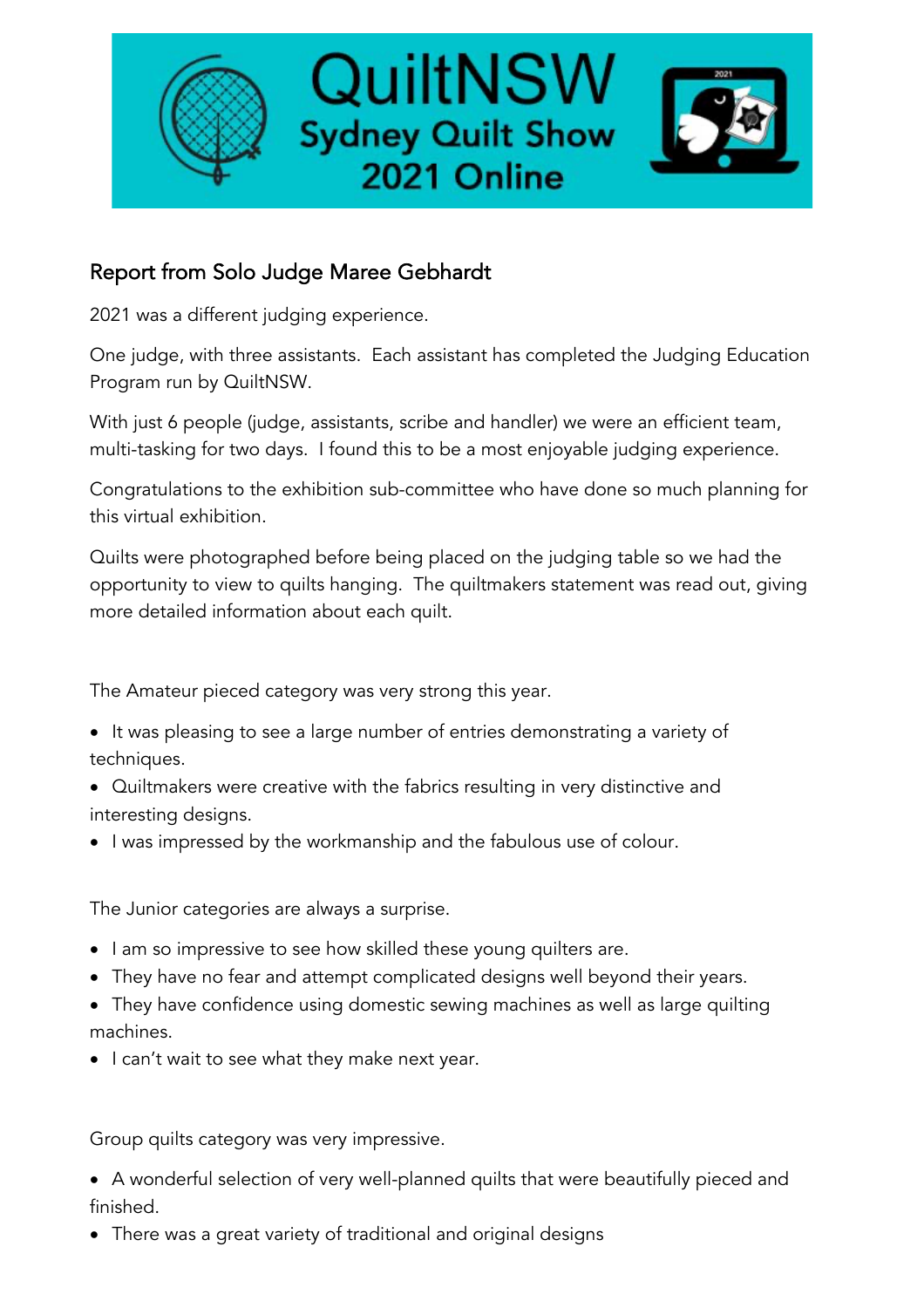

## Report from Solo Judge Maree Gebhardt

2021 was a different judging experience.

One judge, with three assistants. Each assistant has completed the Judging Education Program run by QuiltNSW.

With just 6 people (judge, assistants, scribe and handler) we were an efficient team, multi-tasking for two days. I found this to be a most enjoyable judging experience.

Congratulations to the exhibition sub-committee who have done so much planning for this virtual exhibition.

Quilts were photographed before being placed on the judging table so we had the opportunity to view to quilts hanging. The quiltmakers statement was read out, giving more detailed information about each quilt.

The Amateur pieced category was very strong this year.

- It was pleasing to see a large number of entries demonstrating a variety of techniques.
- Quiltmakers were creative with the fabrics resulting in very distinctive and interesting designs.
- I was impressed by the workmanship and the fabulous use of colour.

The Junior categories are always a surprise.

- I am so impressive to see how skilled these young quilters are.
- They have no fear and attempt complicated designs well beyond their years.
- They have confidence using domestic sewing machines as well as large quilting machines.
- I can't wait to see what they make next year.

Group quilts category was very impressive.

- A wonderful selection of very well-planned quilts that were beautifully pieced and finished.
- There was a great variety of traditional and original designs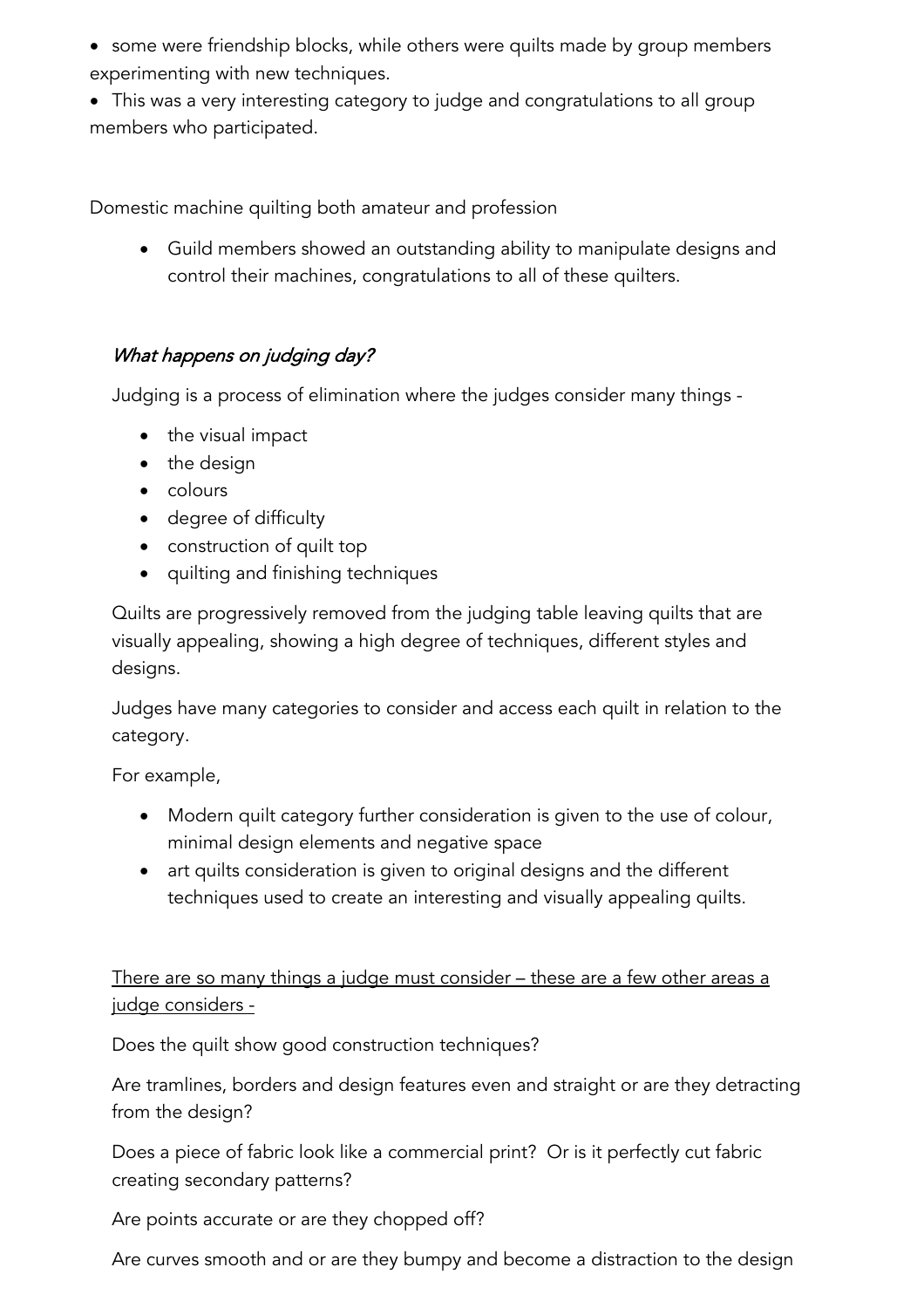• some were friendship blocks, while others were quilts made by group members experimenting with new techniques.

• This was a very interesting category to judge and congratulations to all group members who participated.

Domestic machine quilting both amateur and profession

• Guild members showed an outstanding ability to manipulate designs and control their machines, congratulations to all of these quilters.

## What happens on judging day?

Judging is a process of elimination where the judges consider many things -

- the visual impact
- the design
- colours
- degree of difficulty
- construction of quilt top
- quilting and finishing techniques

Quilts are progressively removed from the judging table leaving quilts that are visually appealing, showing a high degree of techniques, different styles and designs.

Judges have many categories to consider and access each quilt in relation to the category.

For example,

- Modern quilt category further consideration is given to the use of colour, minimal design elements and negative space
- art quilts consideration is given to original designs and the different techniques used to create an interesting and visually appealing quilts.

There are so many things a judge must consider – these are a few other areas a judge considers -

Does the quilt show good construction techniques?

Are tramlines, borders and design features even and straight or are they detracting from the design?

Does a piece of fabric look like a commercial print? Or is it perfectly cut fabric creating secondary patterns?

Are points accurate or are they chopped off?

Are curves smooth and or are they bumpy and become a distraction to the design